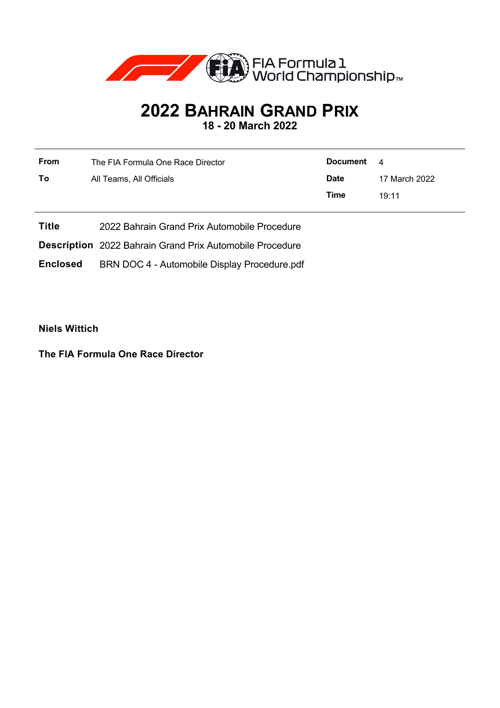

## **2022 BAHRAIN GRAND PRIX**

**18 - 20 March 2022**

| From | The FIA Formula One Race Director | Document    | 4             |
|------|-----------------------------------|-------------|---------------|
| To   | All Teams, All Officials          | <b>Date</b> | 17 March 2022 |
|      |                                   | Time        | 19.11         |

**Title** 2022 Bahrain Grand Prix Automobile Procedure

**Description** 2022 Bahrain Grand Prix Automobile Procedure

**Enclosed** BRN DOC 4 - Automobile Display Procedure.pdf

**Niels Wittich**

**The FIA Formula One Race Director**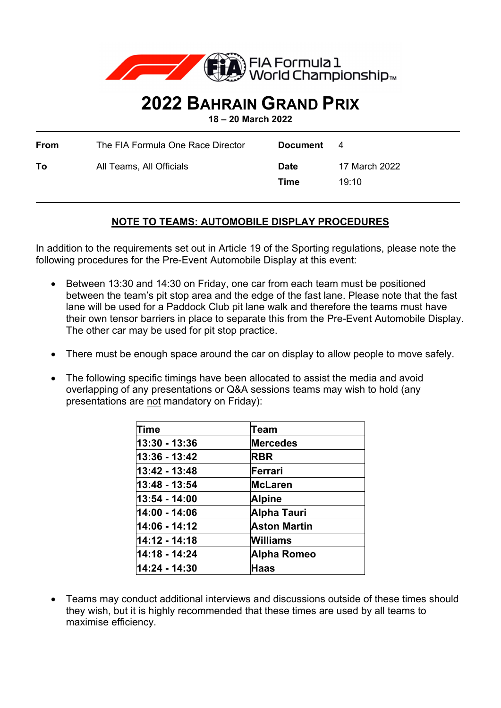

## **2022 BAHRAIN GRAND PRIX**

**18 – 20 March 2022** 

| From | The FIA Formula One Race Director | Document            | 4                      |
|------|-----------------------------------|---------------------|------------------------|
| To   | All Teams, All Officials          | <b>Date</b><br>Time | 17 March 2022<br>19.10 |

## **NOTE TO TEAMS: AUTOMOBILE DISPLAY PROCEDURES**

In addition to the requirements set out in Article 19 of the Sporting regulations, please note the following procedures for the Pre-Event Automobile Display at this event:

- Between 13:30 and 14:30 on Friday, one car from each team must be positioned between the team's pit stop area and the edge of the fast lane. Please note that the fast lane will be used for a Paddock Club pit lane walk and therefore the teams must have their own tensor barriers in place to separate this from the Pre-Event Automobile Display. The other car may be used for pit stop practice.
- There must be enough space around the car on display to allow people to move safely.
- The following specific timings have been allocated to assist the media and avoid overlapping of any presentations or Q&A sessions teams may wish to hold (any presentations are not mandatory on Friday):

| Time          | <b>Team</b>         |
|---------------|---------------------|
| 13:30 - 13:36 | <b>Mercedes</b>     |
| 13:36 - 13:42 | <b>RBR</b>          |
| 13:42 - 13:48 | Ferrari             |
| 13:48 - 13:54 | <b>McLaren</b>      |
| 13:54 - 14:00 | <b>Alpine</b>       |
| 14:00 - 14:06 | Alpha Tauri         |
| 14:06 - 14:12 | <b>Aston Martin</b> |
| 14:12 - 14:18 | Williams            |
| 14:18 - 14:24 | Alpha Romeo         |
| 14:24 - 14:30 | <b>Haas</b>         |

 Teams may conduct additional interviews and discussions outside of these times should they wish, but it is highly recommended that these times are used by all teams to maximise efficiency.